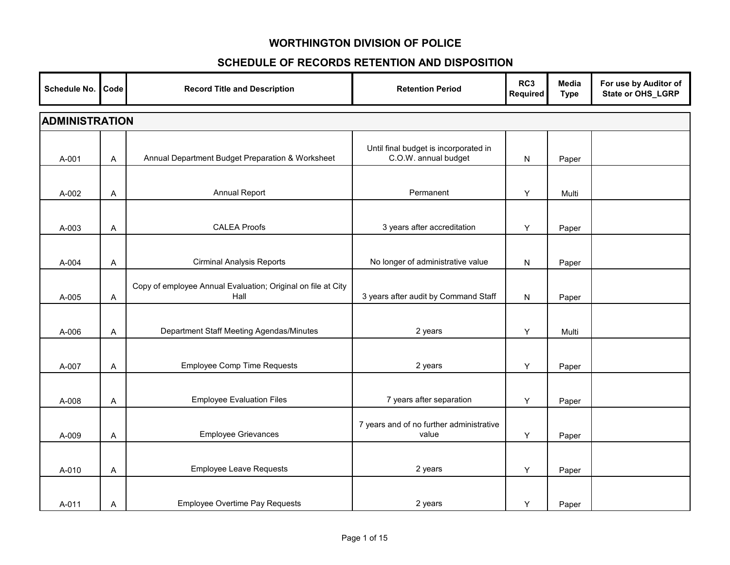| Schedule No.          | Code | <b>Record Title and Description</b>                                  | <b>Retention Period</b>                                       | RC3<br>Required | Media<br><b>Type</b> | For use by Auditor of<br>State or OHS_LGRP |  |  |  |
|-----------------------|------|----------------------------------------------------------------------|---------------------------------------------------------------|-----------------|----------------------|--------------------------------------------|--|--|--|
| <b>ADMINISTRATION</b> |      |                                                                      |                                                               |                 |                      |                                            |  |  |  |
| A-001                 | A    | Annual Department Budget Preparation & Worksheet                     | Until final budget is incorporated in<br>C.O.W. annual budget | N               | Paper                |                                            |  |  |  |
| A-002                 | A    | Annual Report                                                        | Permanent                                                     | Υ               | Multi                |                                            |  |  |  |
| A-003                 | A    | <b>CALEA Proofs</b>                                                  | 3 years after accreditation                                   | Y               | Paper                |                                            |  |  |  |
| A-004                 | Α    | <b>Cirminal Analysis Reports</b>                                     | No longer of administrative value                             | N               | Paper                |                                            |  |  |  |
| A-005                 | Α    | Copy of employee Annual Evaluation; Original on file at City<br>Hall | 3 years after audit by Command Staff                          | N               | Paper                |                                            |  |  |  |
| A-006                 | Α    | Department Staff Meeting Agendas/Minutes                             | 2 years                                                       | Υ               | Multi                |                                            |  |  |  |
| A-007                 | A    | <b>Employee Comp Time Requests</b>                                   | 2 years                                                       | Y               | Paper                |                                            |  |  |  |
| A-008                 | Α    | <b>Employee Evaluation Files</b>                                     | 7 years after separation                                      | Y               | Paper                |                                            |  |  |  |
| A-009                 | A    | <b>Employee Grievances</b>                                           | 7 years and of no further administrative<br>value             | Υ               | Paper                |                                            |  |  |  |
| A-010                 | A    | <b>Employee Leave Requests</b>                                       | 2 years                                                       | Y               | Paper                |                                            |  |  |  |
| A-011                 | Α    | <b>Employee Overtime Pay Requests</b>                                | 2 years                                                       | Y               | Paper                |                                            |  |  |  |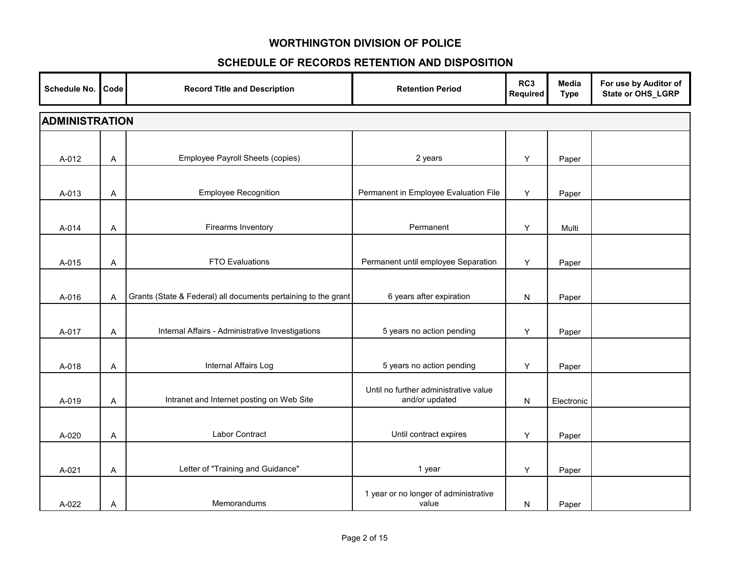| Schedule No.          | Code | <b>Record Title and Description</b>                            | <b>Retention Period</b>                                 | RC3<br>Required | Media<br><b>Type</b> | For use by Auditor of<br>State or OHS_LGRP |  |  |  |
|-----------------------|------|----------------------------------------------------------------|---------------------------------------------------------|-----------------|----------------------|--------------------------------------------|--|--|--|
| <b>ADMINISTRATION</b> |      |                                                                |                                                         |                 |                      |                                            |  |  |  |
|                       |      |                                                                |                                                         |                 |                      |                                            |  |  |  |
| A-012                 | Α    | Employee Payroll Sheets (copies)                               | 2 years                                                 | Y               | Paper                |                                            |  |  |  |
|                       |      |                                                                |                                                         |                 |                      |                                            |  |  |  |
| A-013                 | Α    | <b>Employee Recognition</b>                                    | Permanent in Employee Evaluation File                   | Y               | Paper                |                                            |  |  |  |
|                       |      |                                                                |                                                         |                 |                      |                                            |  |  |  |
| A-014                 | Α    | Firearms Inventory                                             | Permanent                                               | Υ               | Multi                |                                            |  |  |  |
|                       |      |                                                                |                                                         |                 |                      |                                            |  |  |  |
| A-015                 | Α    | <b>FTO Evaluations</b>                                         | Permanent until employee Separation                     | Y               | Paper                |                                            |  |  |  |
|                       |      |                                                                |                                                         |                 |                      |                                            |  |  |  |
| A-016                 | A    | Grants (State & Federal) all documents pertaining to the grant | 6 years after expiration                                | N               | Paper                |                                            |  |  |  |
|                       |      |                                                                |                                                         |                 |                      |                                            |  |  |  |
| A-017                 | A    | Internal Affairs - Administrative Investigations               | 5 years no action pending                               | Y               | Paper                |                                            |  |  |  |
|                       |      |                                                                |                                                         |                 |                      |                                            |  |  |  |
| A-018                 | Α    | Internal Affairs Log                                           | 5 years no action pending                               | Y               | Paper                |                                            |  |  |  |
|                       |      | Intranet and Internet posting on Web Site                      | Until no further administrative value<br>and/or updated |                 |                      |                                            |  |  |  |
| A-019                 | Α    |                                                                |                                                         | N               | Electronic           |                                            |  |  |  |
| A-020                 |      | Labor Contract                                                 | Until contract expires                                  | Υ               |                      |                                            |  |  |  |
|                       | A    |                                                                |                                                         |                 | Paper                |                                            |  |  |  |
| A-021                 | Α    | Letter of "Training and Guidance"                              | 1 year                                                  | Y               | Paper                |                                            |  |  |  |
|                       |      |                                                                |                                                         |                 |                      |                                            |  |  |  |
| A-022                 | Α    | Memorandums                                                    | 1 year or no longer of administrative<br>value          | N               | Paper                |                                            |  |  |  |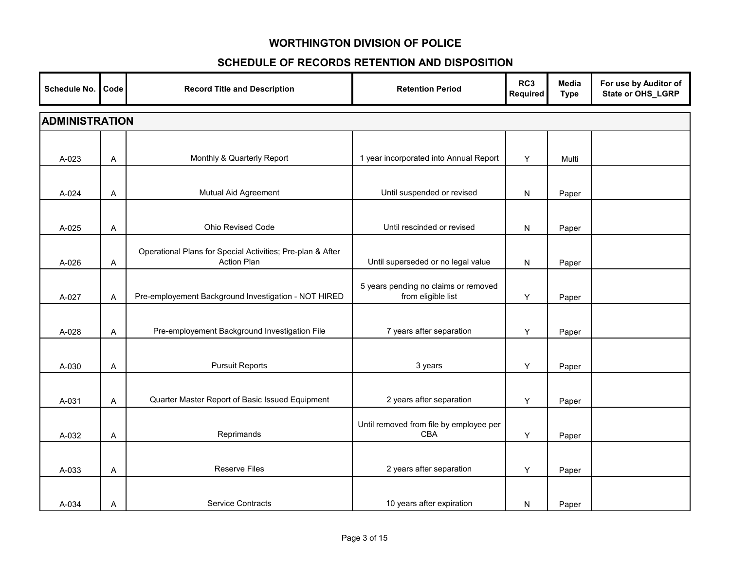| Schedule No. | Code                  | <b>Record Title and Description</b>                                              | <b>Retention Period</b>                                    | RC3<br>Required | Media<br><b>Type</b> | For use by Auditor of<br>State or OHS_LGRP |  |  |  |  |
|--------------|-----------------------|----------------------------------------------------------------------------------|------------------------------------------------------------|-----------------|----------------------|--------------------------------------------|--|--|--|--|
|              | <b>ADMINISTRATION</b> |                                                                                  |                                                            |                 |                      |                                            |  |  |  |  |
| A-023        | A                     | Monthly & Quarterly Report                                                       | 1 year incorporated into Annual Report                     | Y               | Multi                |                                            |  |  |  |  |
| A-024        | Α                     | Mutual Aid Agreement                                                             | Until suspended or revised                                 | N               | Paper                |                                            |  |  |  |  |
| A-025        | Α                     | Ohio Revised Code                                                                | Until rescinded or revised                                 | N               | Paper                |                                            |  |  |  |  |
| A-026        | A                     | Operational Plans for Special Activities; Pre-plan & After<br><b>Action Plan</b> | Until superseded or no legal value                         | N               | Paper                |                                            |  |  |  |  |
| A-027        | Α                     | Pre-employement Background Investigation - NOT HIRED                             | 5 years pending no claims or removed<br>from eligible list | Y               | Paper                |                                            |  |  |  |  |
| A-028        | Α                     | Pre-employement Background Investigation File                                    | 7 years after separation                                   | Y               | Paper                |                                            |  |  |  |  |
| A-030        | Α                     | <b>Pursuit Reports</b>                                                           | 3 years                                                    | Y               | Paper                |                                            |  |  |  |  |
| A-031        | A                     | Quarter Master Report of Basic Issued Equipment                                  | 2 years after separation                                   | Y               | Paper                |                                            |  |  |  |  |
| A-032        | A                     | Reprimands                                                                       | Until removed from file by employee per<br>CBA             | Y               | Paper                |                                            |  |  |  |  |
| A-033        | A                     | <b>Reserve Files</b>                                                             | 2 years after separation                                   | Y               | Paper                |                                            |  |  |  |  |
| A-034        | Α                     | Service Contracts                                                                | 10 years after expiration                                  | N               | Paper                |                                            |  |  |  |  |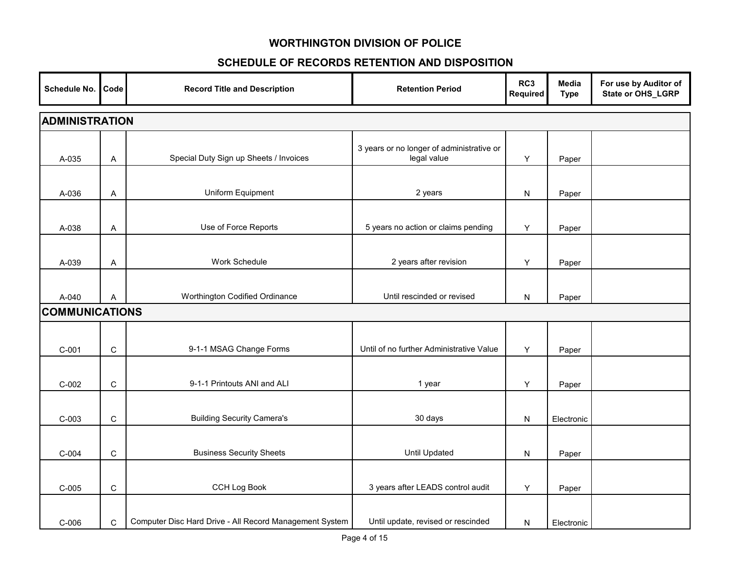| Schedule No.          | Code                  | <b>Record Title and Description</b>                     | <b>Retention Period</b>                                  | RC3<br><b>Required</b> | Media<br><b>Type</b> | For use by Auditor of<br>State or OHS_LGRP |  |  |  |  |
|-----------------------|-----------------------|---------------------------------------------------------|----------------------------------------------------------|------------------------|----------------------|--------------------------------------------|--|--|--|--|
|                       | <b>ADMINISTRATION</b> |                                                         |                                                          |                        |                      |                                            |  |  |  |  |
| A-035                 | Α                     | Special Duty Sign up Sheets / Invoices                  | 3 years or no longer of administrative or<br>legal value | Y                      | Paper                |                                            |  |  |  |  |
| A-036                 | Α                     | Uniform Equipment                                       | 2 years                                                  | N                      | Paper                |                                            |  |  |  |  |
| A-038                 | Α                     | Use of Force Reports                                    | 5 years no action or claims pending                      | Y                      | Paper                |                                            |  |  |  |  |
| A-039                 | Α                     | Work Schedule                                           | 2 years after revision                                   | Υ                      | Paper                |                                            |  |  |  |  |
| A-040                 | A                     | Worthington Codified Ordinance                          | Until rescinded or revised                               | N                      | Paper                |                                            |  |  |  |  |
| <b>COMMUNICATIONS</b> |                       |                                                         |                                                          |                        |                      |                                            |  |  |  |  |
| $C-001$               | $\mathsf C$           | 9-1-1 MSAG Change Forms                                 | Until of no further Administrative Value                 | Y                      | Paper                |                                            |  |  |  |  |
| $C-002$               | $\mathbf C$           | 9-1-1 Printouts ANI and ALI                             | 1 year                                                   | Υ                      | Paper                |                                            |  |  |  |  |
| $C-003$               | $\mathsf C$           | <b>Building Security Camera's</b>                       | 30 days                                                  | N                      | Electronic           |                                            |  |  |  |  |
| $C-004$               | $\mathsf C$           | <b>Business Security Sheets</b>                         | <b>Until Updated</b>                                     | N                      | Paper                |                                            |  |  |  |  |
| $C-005$               | $\mathsf C$           | <b>CCH Log Book</b>                                     | 3 years after LEADS control audit                        | Υ                      | Paper                |                                            |  |  |  |  |
| $C-006$               | $\mathbf C$           | Computer Disc Hard Drive - All Record Management System | Until update, revised or rescinded                       | N                      | Electronic           |                                            |  |  |  |  |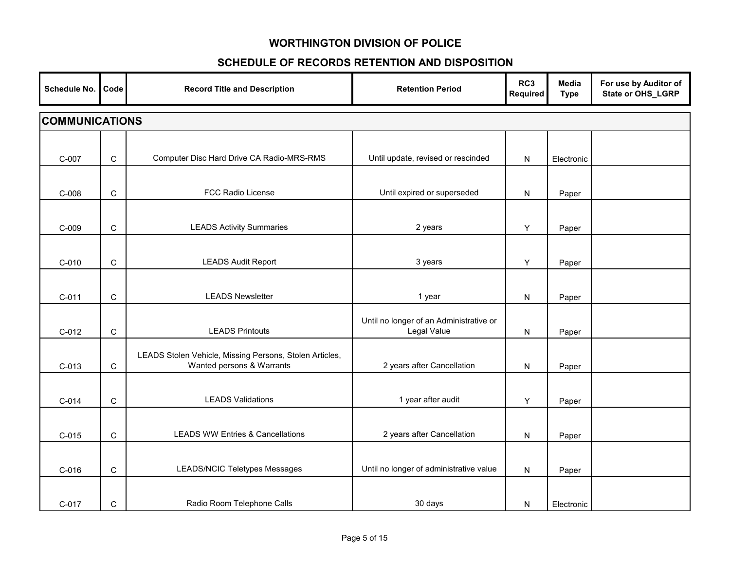| Schedule No.          | Code         | <b>Record Title and Description</b>                                                  | <b>Retention Period</b>                                | RC3<br>Required | Media<br><b>Type</b> | For use by Auditor of<br>State or OHS_LGRP |  |  |  |
|-----------------------|--------------|--------------------------------------------------------------------------------------|--------------------------------------------------------|-----------------|----------------------|--------------------------------------------|--|--|--|
| <b>COMMUNICATIONS</b> |              |                                                                                      |                                                        |                 |                      |                                            |  |  |  |
| C-007                 | $\mathsf C$  | Computer Disc Hard Drive CA Radio-MRS-RMS                                            | Until update, revised or rescinded                     | ${\sf N}$       | Electronic           |                                            |  |  |  |
| $C-008$               | $\mathbf C$  | FCC Radio License                                                                    | Until expired or superseded                            | ${\sf N}$       | Paper                |                                            |  |  |  |
| $C-009$               | ${\bf C}$    | <b>LEADS Activity Summaries</b>                                                      | 2 years                                                | Y               | Paper                |                                            |  |  |  |
| $C-010$               | $\mathsf C$  | <b>LEADS Audit Report</b>                                                            | 3 years                                                | Y               | Paper                |                                            |  |  |  |
| $C-011$               | $\mathbf C$  | <b>LEADS Newsletter</b>                                                              | 1 year                                                 | N               | Paper                |                                            |  |  |  |
| $C-012$               | $\mathbf C$  | <b>LEADS Printouts</b>                                                               | Until no longer of an Administrative or<br>Legal Value | N               | Paper                |                                            |  |  |  |
| $C-013$               | $\mathsf{C}$ | LEADS Stolen Vehicle, Missing Persons, Stolen Articles,<br>Wanted persons & Warrants | 2 years after Cancellation                             | N               | Paper                |                                            |  |  |  |
| $C-014$               | $\mathsf{C}$ | <b>LEADS Validations</b>                                                             | 1 year after audit                                     | Y               | Paper                |                                            |  |  |  |
| $C-015$               | $\mathbf C$  | <b>LEADS WW Entries &amp; Cancellations</b>                                          | 2 years after Cancellation                             | ${\sf N}$       | Paper                |                                            |  |  |  |
| $C-016$               | C            | LEADS/NCIC Teletypes Messages                                                        | Until no longer of administrative value                | N               | Paper                |                                            |  |  |  |
| C-017                 | $\mathsf{C}$ | Radio Room Telephone Calls                                                           | 30 days                                                | N               | Electronic           |                                            |  |  |  |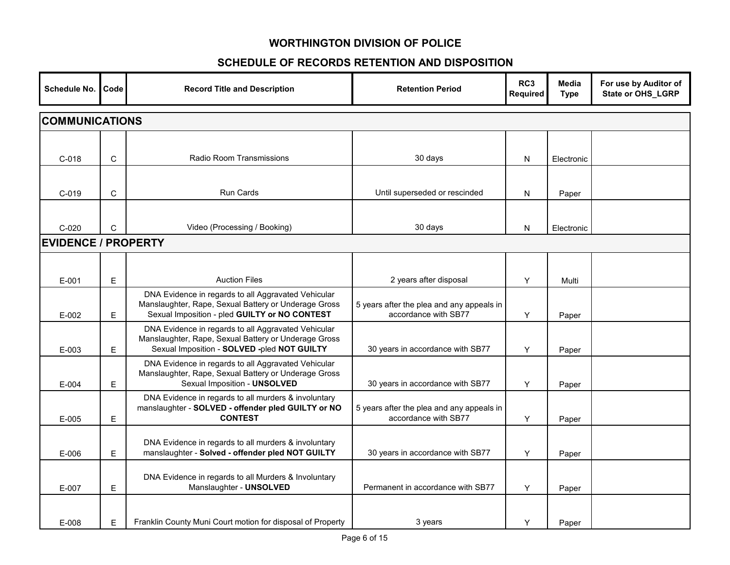| Schedule No.               | Code                  | <b>Record Title and Description</b>                                                                                                                          | <b>Retention Period</b>                                           | RC3<br>Required | <b>Media</b><br><b>Type</b> | For use by Auditor of<br>State or OHS_LGRP |  |  |  |
|----------------------------|-----------------------|--------------------------------------------------------------------------------------------------------------------------------------------------------------|-------------------------------------------------------------------|-----------------|-----------------------------|--------------------------------------------|--|--|--|
|                            | <b>COMMUNICATIONS</b> |                                                                                                                                                              |                                                                   |                 |                             |                                            |  |  |  |
| $C-018$                    | C                     | Radio Room Transmissions                                                                                                                                     | 30 days                                                           | N               | Electronic                  |                                            |  |  |  |
| $C-019$                    | $\mathbf C$           | Run Cards                                                                                                                                                    | Until superseded or rescinded                                     | N               | Paper                       |                                            |  |  |  |
| $C-020$                    | C                     | Video (Processing / Booking)                                                                                                                                 | 30 days                                                           | N               | Electronic                  |                                            |  |  |  |
| <b>EVIDENCE / PROPERTY</b> |                       |                                                                                                                                                              |                                                                   |                 |                             |                                            |  |  |  |
| $E-001$                    | E                     | <b>Auction Files</b>                                                                                                                                         | 2 years after disposal                                            | Y               | Multi                       |                                            |  |  |  |
| $E - 002$                  | E                     | DNA Evidence in regards to all Aggravated Vehicular<br>Manslaughter, Rape, Sexual Battery or Underage Gross<br>Sexual Imposition - pled GUILTY or NO CONTEST | 5 years after the plea and any appeals in<br>accordance with SB77 | Y               | Paper                       |                                            |  |  |  |
| E-003                      | Е                     | DNA Evidence in regards to all Aggravated Vehicular<br>Manslaughter, Rape, Sexual Battery or Underage Gross<br>Sexual Imposition - SOLVED -pled NOT GUILTY   | 30 years in accordance with SB77                                  | Y               | Paper                       |                                            |  |  |  |
| $E - 004$                  | E                     | DNA Evidence in regards to all Aggravated Vehicular<br>Manslaughter, Rape, Sexual Battery or Underage Gross<br>Sexual Imposition - UNSOLVED                  | 30 years in accordance with SB77                                  | Y               | Paper                       |                                            |  |  |  |
| $E-005$                    | E                     | DNA Evidence in regards to all murders & involuntary<br>manslaughter - SOLVED - offender pled GUILTY or NO<br><b>CONTEST</b>                                 | 5 years after the plea and any appeals in<br>accordance with SB77 | Y               | Paper                       |                                            |  |  |  |
| E-006                      | Е                     | DNA Evidence in regards to all murders & involuntary<br>manslaughter - Solved - offender pled NOT GUILTY                                                     | 30 years in accordance with SB77                                  | Y               | Paper                       |                                            |  |  |  |
| E-007                      | Е                     | DNA Evidence in regards to all Murders & Involuntary<br>Manslaughter - UNSOLVED                                                                              | Permanent in accordance with SB77                                 | Y               | Paper                       |                                            |  |  |  |
| E-008                      | E                     | Franklin County Muni Court motion for disposal of Property                                                                                                   | 3 years                                                           | Y               | Paper                       |                                            |  |  |  |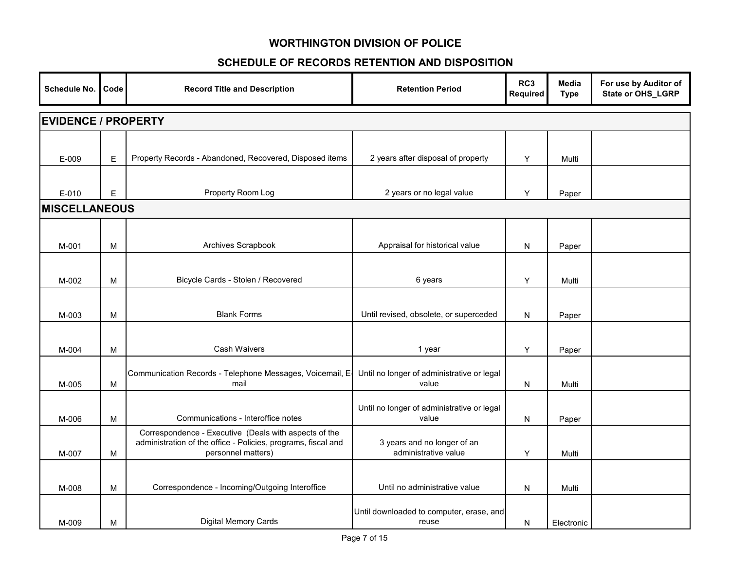| Schedule No.         | Code                       | <b>Record Title and Description</b>                                                                                                          | <b>Retention Period</b>                             | RC <sub>3</sub><br><b>Required</b> | Media<br><b>Type</b> | For use by Auditor of<br>State or OHS_LGRP |  |  |  |  |
|----------------------|----------------------------|----------------------------------------------------------------------------------------------------------------------------------------------|-----------------------------------------------------|------------------------------------|----------------------|--------------------------------------------|--|--|--|--|
|                      | <b>EVIDENCE / PROPERTY</b> |                                                                                                                                              |                                                     |                                    |                      |                                            |  |  |  |  |
| E-009                | $\mathsf E$                | Property Records - Abandoned, Recovered, Disposed items                                                                                      | 2 years after disposal of property                  | Y                                  | Multi                |                                            |  |  |  |  |
| $E - 010$            | E                          | Property Room Log                                                                                                                            | 2 years or no legal value                           | Y                                  | Paper                |                                            |  |  |  |  |
| <b>MISCELLANEOUS</b> |                            |                                                                                                                                              |                                                     |                                    |                      |                                            |  |  |  |  |
| M-001                | M                          | Archives Scrapbook                                                                                                                           | Appraisal for historical value                      | ${\sf N}$                          | Paper                |                                            |  |  |  |  |
| M-002                | M                          | Bicycle Cards - Stolen / Recovered                                                                                                           | 6 years                                             | Y                                  | Multi                |                                            |  |  |  |  |
| M-003                | M                          | <b>Blank Forms</b>                                                                                                                           | Until revised, obsolete, or superceded              | N                                  | Paper                |                                            |  |  |  |  |
| M-004                | M                          | Cash Waivers                                                                                                                                 | 1 year                                              | Y                                  | Paper                |                                            |  |  |  |  |
| M-005                | M                          | Communication Records - Telephone Messages, Voicemail, E-<br>mail                                                                            | Until no longer of administrative or legal<br>value | N                                  | Multi                |                                            |  |  |  |  |
| M-006                | M                          | Communications - Interoffice notes                                                                                                           | Until no longer of administrative or legal<br>value | N                                  | Paper                |                                            |  |  |  |  |
| M-007                | M                          | Correspondence - Executive (Deals with aspects of the<br>administration of the office - Policies, programs, fiscal and<br>personnel matters) | 3 years and no longer of an<br>administrative value | Y                                  | Multi                |                                            |  |  |  |  |
| M-008                | M                          | Correspondence - Incoming/Outgoing Interoffice                                                                                               | Until no administrative value                       | N                                  | Multi                |                                            |  |  |  |  |
| M-009                | м                          | <b>Digital Memory Cards</b>                                                                                                                  | Until downloaded to computer, erase, and<br>reuse   | N                                  | Electronic           |                                            |  |  |  |  |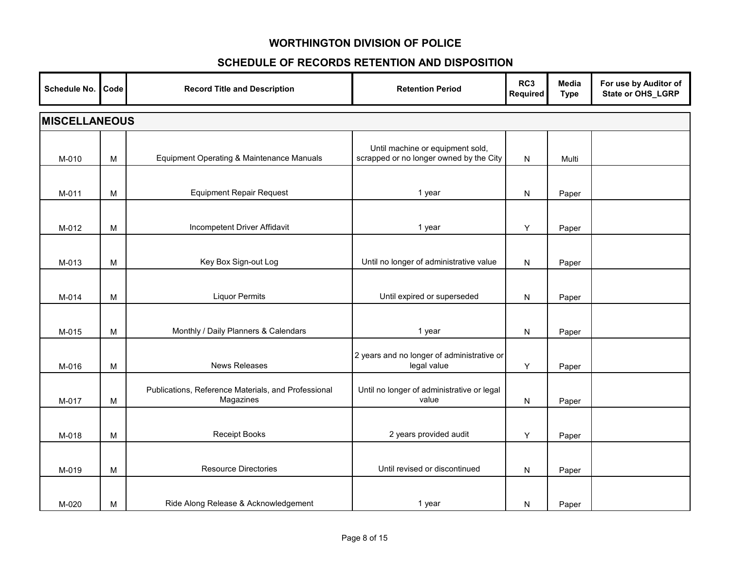| Schedule No. | Code                 | <b>Record Title and Description</b>                              | <b>Retention Period</b>                                                     | RC3<br>Required | Media<br><b>Type</b> | For use by Auditor of<br>State or OHS_LGRP |  |  |  |  |
|--------------|----------------------|------------------------------------------------------------------|-----------------------------------------------------------------------------|-----------------|----------------------|--------------------------------------------|--|--|--|--|
|              | <b>MISCELLANEOUS</b> |                                                                  |                                                                             |                 |                      |                                            |  |  |  |  |
| M-010        | M                    | Equipment Operating & Maintenance Manuals                        | Until machine or equipment sold,<br>scrapped or no longer owned by the City | N               | Multi                |                                            |  |  |  |  |
| M-011        | M                    | <b>Equipment Repair Request</b>                                  | 1 year                                                                      | N               | Paper                |                                            |  |  |  |  |
| M-012        | M                    | Incompetent Driver Affidavit                                     | 1 year                                                                      | Y               | Paper                |                                            |  |  |  |  |
| M-013        | M                    | Key Box Sign-out Log                                             | Until no longer of administrative value                                     | N               | Paper                |                                            |  |  |  |  |
| M-014        | M                    | <b>Liquor Permits</b>                                            | Until expired or superseded                                                 | N               | Paper                |                                            |  |  |  |  |
| M-015        | M                    | Monthly / Daily Planners & Calendars                             | 1 year                                                                      | N               | Paper                |                                            |  |  |  |  |
| M-016        | M                    | <b>News Releases</b>                                             | 2 years and no longer of administrative or<br>legal value                   | Y               | Paper                |                                            |  |  |  |  |
| M-017        | M                    | Publications, Reference Materials, and Professional<br>Magazines | Until no longer of administrative or legal<br>value                         | N               | Paper                |                                            |  |  |  |  |
| M-018        | M                    | <b>Receipt Books</b>                                             | 2 years provided audit                                                      | Y               | Paper                |                                            |  |  |  |  |
| M-019        | M                    | <b>Resource Directories</b>                                      | Until revised or discontinued                                               | N               | Paper                |                                            |  |  |  |  |
| M-020        | M                    | Ride Along Release & Acknowledgement                             | 1 year                                                                      | N               | Paper                |                                            |  |  |  |  |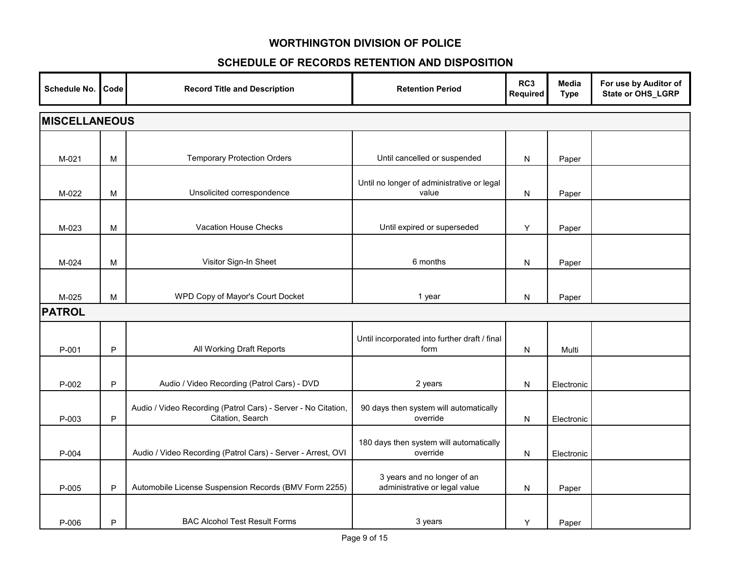| <b>Schedule No.</b> | Code                 | <b>Record Title and Description</b>                                               | <b>Retention Period</b>                                      | RC3<br>Required | Media<br><b>Type</b> | For use by Auditor of<br>State or OHS_LGRP |  |  |  |
|---------------------|----------------------|-----------------------------------------------------------------------------------|--------------------------------------------------------------|-----------------|----------------------|--------------------------------------------|--|--|--|
|                     | <b>MISCELLANEOUS</b> |                                                                                   |                                                              |                 |                      |                                            |  |  |  |
| $M-021$             | M                    | <b>Temporary Protection Orders</b>                                                | Until cancelled or suspended                                 | N               | Paper                |                                            |  |  |  |
| M-022               | M                    | Unsolicited correspondence                                                        | Until no longer of administrative or legal<br>value          | N               | Paper                |                                            |  |  |  |
| M-023               | M                    | Vacation House Checks                                                             | Until expired or superseded                                  | Y               | Paper                |                                            |  |  |  |
| M-024               | М                    | Visitor Sign-In Sheet                                                             | 6 months                                                     | N               | Paper                |                                            |  |  |  |
| M-025               | M                    | WPD Copy of Mayor's Court Docket                                                  | 1 year                                                       | N               | Paper                |                                            |  |  |  |
| <b>PATROL</b>       |                      |                                                                                   |                                                              |                 |                      |                                            |  |  |  |
| P-001               | P                    | All Working Draft Reports                                                         | Until incorporated into further draft / final<br>form        | N               | Multi                |                                            |  |  |  |
| P-002               | P                    | Audio / Video Recording (Patrol Cars) - DVD                                       | 2 years                                                      | N               | Electronic           |                                            |  |  |  |
| P-003               | P                    | Audio / Video Recording (Patrol Cars) - Server - No Citation,<br>Citation, Search | 90 days then system will automatically<br>override           | N               | Electronic           |                                            |  |  |  |
| P-004               |                      | Audio / Video Recording (Patrol Cars) - Server - Arrest, OVI                      | 180 days then system will automatically<br>override          | N               | Electronic           |                                            |  |  |  |
| P-005               | P                    | Automobile License Suspension Records (BMV Form 2255)                             | 3 years and no longer of an<br>administrative or legal value | N               | Paper                |                                            |  |  |  |
| P-006               | P                    | <b>BAC Alcohol Test Result Forms</b>                                              | 3 years                                                      | Y               | Paper                |                                            |  |  |  |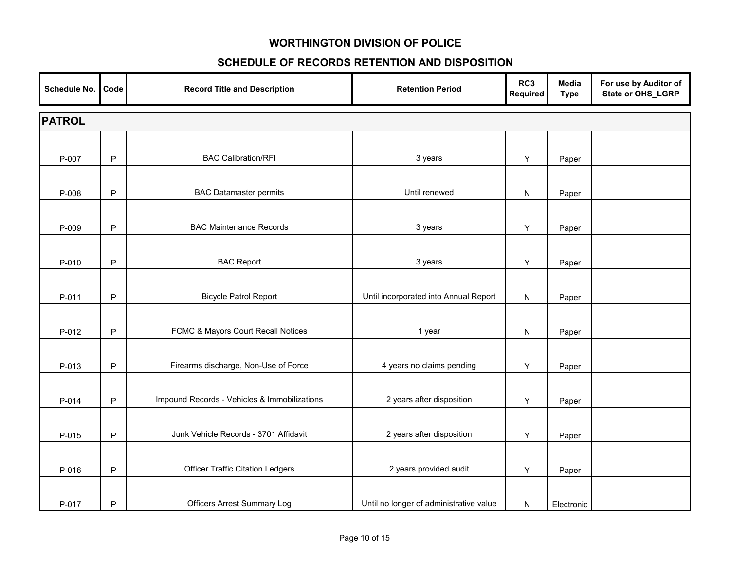| Schedule No.  | Code         | <b>Record Title and Description</b>          | <b>Retention Period</b>                 | RC3<br>Required | <b>Media</b><br><b>Type</b> | For use by Auditor of<br>State or OHS_LGRP |  |  |  |  |
|---------------|--------------|----------------------------------------------|-----------------------------------------|-----------------|-----------------------------|--------------------------------------------|--|--|--|--|
| <b>PATROL</b> |              |                                              |                                         |                 |                             |                                            |  |  |  |  |
| P-007         | $\mathsf{P}$ | <b>BAC Calibration/RFI</b>                   | 3 years                                 | Υ               | Paper                       |                                            |  |  |  |  |
| P-008         | $\mathsf{P}$ | <b>BAC Datamaster permits</b>                | Until renewed                           | N               | Paper                       |                                            |  |  |  |  |
| P-009         | $\mathsf P$  | <b>BAC Maintenance Records</b>               | 3 years                                 | Y               | Paper                       |                                            |  |  |  |  |
| P-010         | $\mathsf P$  | <b>BAC Report</b>                            | 3 years                                 | Y               | Paper                       |                                            |  |  |  |  |
| P-011         | P            | <b>Bicycle Patrol Report</b>                 | Until incorporated into Annual Report   | N               | Paper                       |                                            |  |  |  |  |
| P-012         | $\mathsf{P}$ | FCMC & Mayors Court Recall Notices           | 1 year                                  | N               | Paper                       |                                            |  |  |  |  |
| P-013         | P            | Firearms discharge, Non-Use of Force         | 4 years no claims pending               | Υ               | Paper                       |                                            |  |  |  |  |
| P-014         | P            | Impound Records - Vehicles & Immobilizations | 2 years after disposition               | Y               | Paper                       |                                            |  |  |  |  |
| P-015         | $\mathsf{P}$ | Junk Vehicle Records - 3701 Affidavit        | 2 years after disposition               | Y               | Paper                       |                                            |  |  |  |  |
| P-016         | $\mathsf{P}$ | <b>Officer Traffic Citation Ledgers</b>      | 2 years provided audit                  | Y               | Paper                       |                                            |  |  |  |  |
| P-017         | P            | <b>Officers Arrest Summary Log</b>           | Until no longer of administrative value | N               | Electronic                  |                                            |  |  |  |  |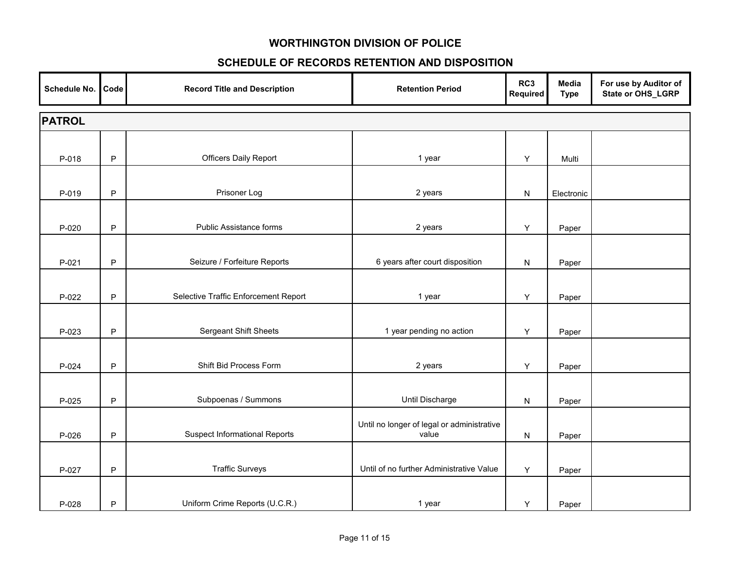| Schedule No.  | Code         | <b>Record Title and Description</b>  | <b>Retention Period</b>                             | RC3<br>Required | Media<br><b>Type</b> | For use by Auditor of<br>State or OHS_LGRP |  |  |  |
|---------------|--------------|--------------------------------------|-----------------------------------------------------|-----------------|----------------------|--------------------------------------------|--|--|--|
| <b>PATROL</b> |              |                                      |                                                     |                 |                      |                                            |  |  |  |
| P-018         | $\mathsf{P}$ | <b>Officers Daily Report</b>         | 1 year                                              | Υ               | Multi                |                                            |  |  |  |
| P-019         | $\mathsf{P}$ | Prisoner Log                         | 2 years                                             | ${\sf N}$       | Electronic           |                                            |  |  |  |
| $P-020$       | $\mathsf P$  | Public Assistance forms              | 2 years                                             | Y               | Paper                |                                            |  |  |  |
| $P-021$       | $\mathsf{P}$ | Seizure / Forfeiture Reports         | 6 years after court disposition                     | N               | Paper                |                                            |  |  |  |
| P-022         | P            | Selective Traffic Enforcement Report | 1 year                                              | Y               | Paper                |                                            |  |  |  |
| P-023         | $\mathsf{P}$ | <b>Sergeant Shift Sheets</b>         | 1 year pending no action                            | Y               | Paper                |                                            |  |  |  |
| P-024         | P            | Shift Bid Process Form               | 2 years                                             | Υ               | Paper                |                                            |  |  |  |
| P-025         | $\mathsf{P}$ | Subpoenas / Summons                  | Until Discharge                                     | N               | Paper                |                                            |  |  |  |
| P-026         | $\mathsf{P}$ | <b>Suspect Informational Reports</b> | Until no longer of legal or administrative<br>value | N               | Paper                |                                            |  |  |  |
| P-027         | $\mathsf{P}$ | <b>Traffic Surveys</b>               | Until of no further Administrative Value            | Υ               | Paper                |                                            |  |  |  |
| P-028         | P            | Uniform Crime Reports (U.C.R.)       | 1 year                                              | Υ               | Paper                |                                            |  |  |  |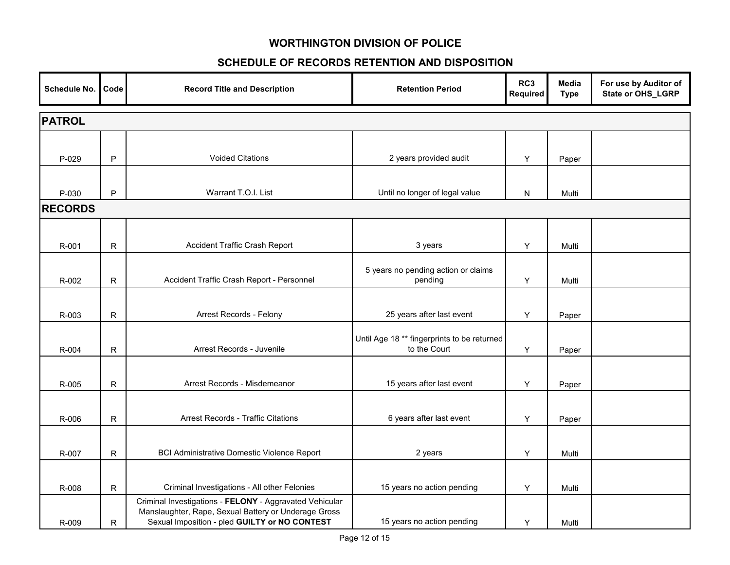| Schedule No.   | Code         | <b>Record Title and Description</b>                                                                                                                              | <b>Retention Period</b>                                     | RC3<br><b>Required</b> | Media<br><b>Type</b> | For use by Auditor of<br>State or OHS_LGRP |  |  |  |
|----------------|--------------|------------------------------------------------------------------------------------------------------------------------------------------------------------------|-------------------------------------------------------------|------------------------|----------------------|--------------------------------------------|--|--|--|
| <b>PATROL</b>  |              |                                                                                                                                                                  |                                                             |                        |                      |                                            |  |  |  |
| P-029          | P            | <b>Voided Citations</b>                                                                                                                                          | 2 years provided audit                                      | Y                      | Paper                |                                            |  |  |  |
| P-030          | P            | Warrant T.O.I. List                                                                                                                                              | Until no longer of legal value                              | N                      | Multi                |                                            |  |  |  |
| <b>RECORDS</b> |              |                                                                                                                                                                  |                                                             |                        |                      |                                            |  |  |  |
| R-001          | $\mathsf R$  | Accident Traffic Crash Report                                                                                                                                    | 3 years                                                     | Y                      | Multi                |                                            |  |  |  |
| R-002          | $\mathsf{R}$ | Accident Traffic Crash Report - Personnel                                                                                                                        | 5 years no pending action or claims<br>pending              | Y                      | Multi                |                                            |  |  |  |
| R-003          | $\mathsf{R}$ | Arrest Records - Felony                                                                                                                                          | 25 years after last event                                   | Y                      | Paper                |                                            |  |  |  |
| R-004          | R            | Arrest Records - Juvenile                                                                                                                                        | Until Age 18 ** fingerprints to be returned<br>to the Court | Y                      | Paper                |                                            |  |  |  |
| R-005          | R            | Arrest Records - Misdemeanor                                                                                                                                     | 15 years after last event                                   | Y                      | Paper                |                                            |  |  |  |
| R-006          | $\mathsf{R}$ | <b>Arrest Records - Traffic Citations</b>                                                                                                                        | 6 years after last event                                    | Y                      | Paper                |                                            |  |  |  |
| R-007          | $\mathsf R$  | <b>BCI Administrative Domestic Violence Report</b>                                                                                                               | 2 years                                                     | Y                      | Multi                |                                            |  |  |  |
| R-008          | $\mathsf R$  | Criminal Investigations - All other Felonies                                                                                                                     | 15 years no action pending                                  | Υ                      | Multi                |                                            |  |  |  |
| R-009          | R            | Criminal Investigations - FELONY - Aggravated Vehicular<br>Manslaughter, Rape, Sexual Battery or Underage Gross<br>Sexual Imposition - pled GUILTY or NO CONTEST | 15 years no action pending                                  | Y                      | Multi                |                                            |  |  |  |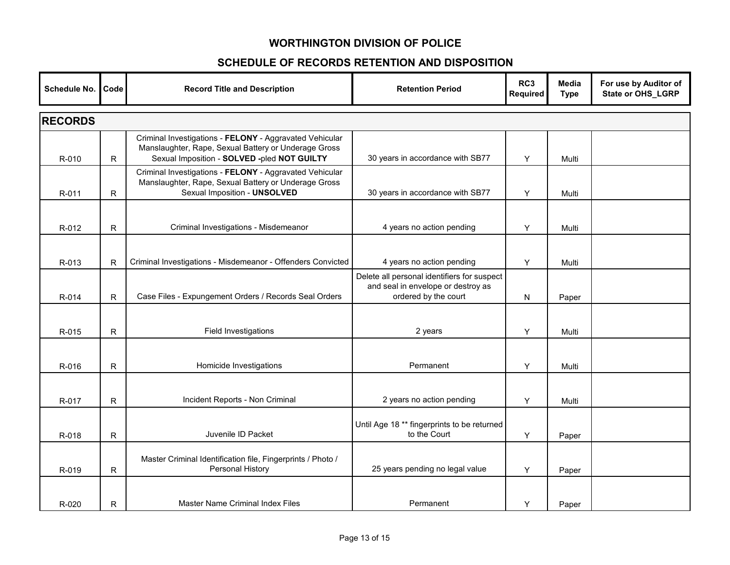| Schedule No.   | Code         | <b>Record Title and Description</b>                                                                                                                            | <b>Retention Period</b>                                                                                   | RC3<br>Required | <b>Media</b><br><b>Type</b> | For use by Auditor of<br>State or OHS_LGRP |  |
|----------------|--------------|----------------------------------------------------------------------------------------------------------------------------------------------------------------|-----------------------------------------------------------------------------------------------------------|-----------------|-----------------------------|--------------------------------------------|--|
| <b>RECORDS</b> |              |                                                                                                                                                                |                                                                                                           |                 |                             |                                            |  |
| R-010          | $\mathsf{R}$ | Criminal Investigations - FELONY - Aggravated Vehicular<br>Manslaughter, Rape, Sexual Battery or Underage Gross<br>Sexual Imposition - SOLVED -pled NOT GUILTY | 30 years in accordance with SB77                                                                          | Y               | Multi                       |                                            |  |
| R-011          | R            | Criminal Investigations - FELONY - Aggravated Vehicular<br>Manslaughter, Rape, Sexual Battery or Underage Gross<br>Sexual Imposition - UNSOLVED                | 30 years in accordance with SB77                                                                          | Y               | Multi                       |                                            |  |
| R-012          | $\mathsf R$  | Criminal Investigations - Misdemeanor                                                                                                                          | 4 years no action pending                                                                                 | Υ               | Multi                       |                                            |  |
| R-013          | $\mathsf{R}$ | Criminal Investigations - Misdemeanor - Offenders Convicted                                                                                                    | 4 years no action pending                                                                                 | Y               | Multi                       |                                            |  |
| R-014          | R            | Case Files - Expungement Orders / Records Seal Orders                                                                                                          | Delete all personal identifiers for suspect<br>and seal in envelope or destroy as<br>ordered by the court | N               | Paper                       |                                            |  |
| R-015          | $\mathsf{R}$ | Field Investigations                                                                                                                                           | 2 years                                                                                                   | Y               | Multi                       |                                            |  |
| R-016          | $\mathsf{R}$ | Homicide Investigations                                                                                                                                        | Permanent                                                                                                 | Y               | Multi                       |                                            |  |
| R-017          | $\mathsf{R}$ | Incident Reports - Non Criminal                                                                                                                                | 2 years no action pending                                                                                 | Y               | Multi                       |                                            |  |
| R-018          | $\mathsf{R}$ | Juvenile ID Packet                                                                                                                                             | Until Age 18 ** fingerprints to be returned<br>to the Court                                               | Y               | Paper                       |                                            |  |
| R-019          | R            | Master Criminal Identification file, Fingerprints / Photo /<br>Personal History                                                                                | 25 years pending no legal value                                                                           | Y               | Paper                       |                                            |  |
| R-020          | R            | Master Name Criminal Index Files                                                                                                                               | Permanent                                                                                                 | Y               | Paper                       |                                            |  |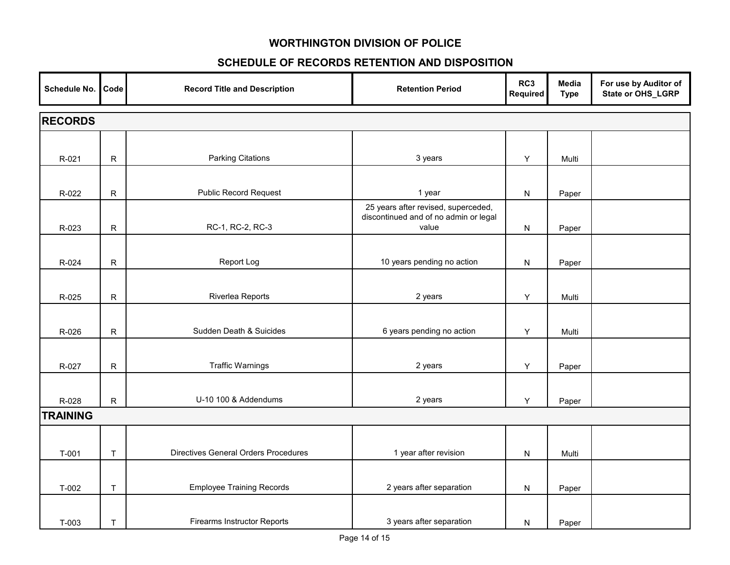| Schedule No.    | Code         | <b>Record Title and Description</b>         | <b>Retention Period</b>                                                               | RC3<br>Required | Media<br><b>Type</b> | For use by Auditor of<br>State or OHS_LGRP |  |
|-----------------|--------------|---------------------------------------------|---------------------------------------------------------------------------------------|-----------------|----------------------|--------------------------------------------|--|
| <b>RECORDS</b>  |              |                                             |                                                                                       |                 |                      |                                            |  |
|                 |              |                                             |                                                                                       |                 |                      |                                            |  |
| R-021           | ${\sf R}$    | <b>Parking Citations</b>                    | 3 years                                                                               | Υ               | Multi                |                                            |  |
|                 |              |                                             |                                                                                       |                 |                      |                                            |  |
| R-022           | ${\sf R}$    | <b>Public Record Request</b>                | 1 year                                                                                | ${\sf N}$       | Paper                |                                            |  |
| R-023           | ${\sf R}$    | RC-1, RC-2, RC-3                            | 25 years after revised, superceded,<br>discontinued and of no admin or legal<br>value | N               | Paper                |                                            |  |
|                 |              |                                             |                                                                                       |                 |                      |                                            |  |
| R-024           | ${\sf R}$    | Report Log                                  | 10 years pending no action                                                            | N               | Paper                |                                            |  |
| R-025           | ${\sf R}$    | Riverlea Reports                            | 2 years                                                                               | Y               | Multi                |                                            |  |
| R-026           | ${\sf R}$    | Sudden Death & Suicides                     | 6 years pending no action                                                             | Υ               | Multi                |                                            |  |
| R-027           | ${\sf R}$    | <b>Traffic Warnings</b>                     | 2 years                                                                               | Y               | Paper                |                                            |  |
| R-028           | $\mathsf{R}$ | U-10 100 & Addendums                        | 2 years                                                                               | Y               | Paper                |                                            |  |
| <b>TRAINING</b> |              |                                             |                                                                                       |                 |                      |                                            |  |
|                 |              |                                             |                                                                                       |                 |                      |                                            |  |
| $T-001$         | $\sf T$      | <b>Directives General Orders Procedures</b> | 1 year after revision                                                                 | ${\sf N}$       | Multi                |                                            |  |
| $T-002$         | T            | <b>Employee Training Records</b>            | 2 years after separation                                                              | N               | Paper                |                                            |  |
| T-003           | $\mathsf{T}$ | <b>Firearms Instructor Reports</b>          | 3 years after separation                                                              | N               | Paper                |                                            |  |